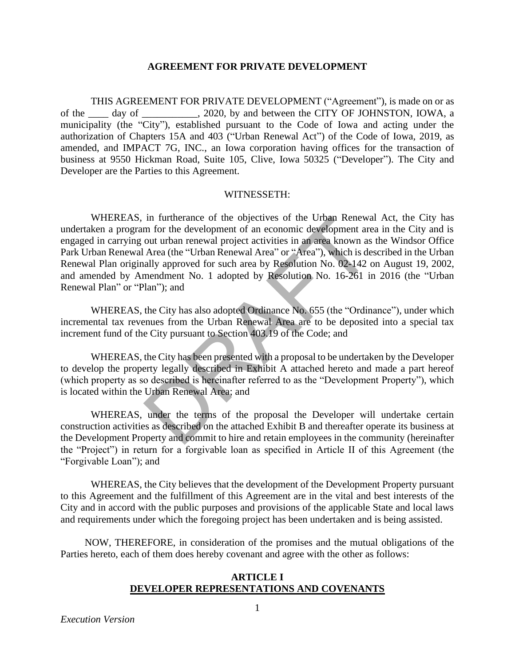#### **AGREEMENT FOR PRIVATE DEVELOPMENT**

THIS AGREEMENT FOR PRIVATE DEVELOPMENT ("Agreement"), is made on or as of the \_\_\_\_ day of \_\_\_\_\_\_\_\_\_\_\_, 2020, by and between the CITY OF JOHNSTON, IOWA, a municipality (the "City"), established pursuant to the Code of Iowa and acting under the authorization of Chapters 15A and 403 ("Urban Renewal Act") of the Code of Iowa, 2019, as amended, and IMPACT 7G, INC., an Iowa corporation having offices for the transaction of business at 9550 Hickman Road, Suite 105, Clive, Iowa 50325 ("Developer"). The City and Developer are the Parties to this Agreement.

#### WITNESSETH:

WHEREAS, in furtherance of the objectives of the Urban Renewal Act, the City has undertaken a program for the development of an economic development area in the City and is engaged in carrying out urban renewal project activities in an area known as the Windsor Office Park Urban Renewal Area (the "Urban Renewal Area" or "Area"), which is described in the Urban Renewal Plan originally approved for such area by Resolution No. 02-142 on August 19, 2002, and amended by Amendment No. 1 adopted by Resolution No. 16-261 in 2016 (the "Urban Renewal Plan" or "Plan"); and In furtherance of the objectives of the Urban Renewa<br>m for the development of an economic development are<br>out urban renewal project activities in an area known as<br>Area (the "Urban Renewal Area" or "Area"), which is de<br>ally

WHEREAS, the City has also adopted Ordinance No. 655 (the "Ordinance"), under which incremental tax revenues from the Urban Renewal Area are to be deposited into a special tax increment fund of the City pursuant to Section 403.19 of the Code; and

WHEREAS, the City has been presented with a proposal to be undertaken by the Developer to develop the property legally described in Exhibit A attached hereto and made a part hereof (which property as so described is hereinafter referred to as the "Development Property"), which is located within the Urban Renewal Area; and

WHEREAS, under the terms of the proposal the Developer will undertake certain construction activities as described on the attached Exhibit B and thereafter operate its business at the Development Property and commit to hire and retain employees in the community (hereinafter the "Project") in return for a forgivable loan as specified in Article II of this Agreement (the "Forgivable Loan"); and

WHEREAS, the City believes that the development of the Development Property pursuant to this Agreement and the fulfillment of this Agreement are in the vital and best interests of the City and in accord with the public purposes and provisions of the applicable State and local laws and requirements under which the foregoing project has been undertaken and is being assisted.

NOW, THEREFORE, in consideration of the promises and the mutual obligations of the Parties hereto, each of them does hereby covenant and agree with the other as follows:

#### **ARTICLE I DEVELOPER REPRESENTATIONS AND COVENANTS**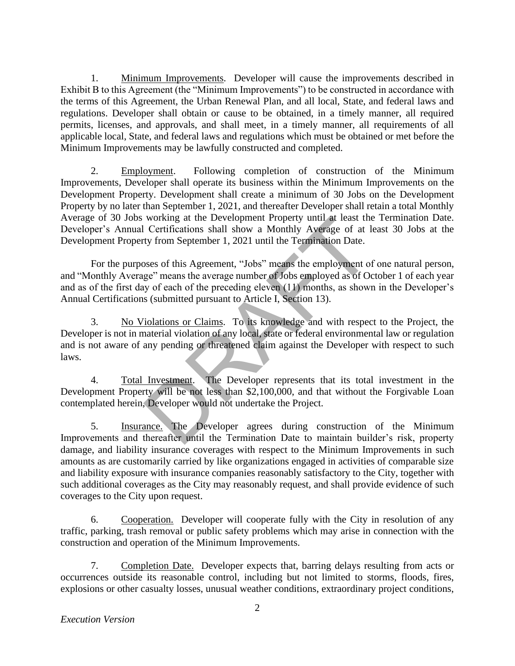1. Minimum Improvements. Developer will cause the improvements described in Exhibit B to this Agreement (the "Minimum Improvements") to be constructed in accordance with the terms of this Agreement, the Urban Renewal Plan, and all local, State, and federal laws and regulations. Developer shall obtain or cause to be obtained, in a timely manner, all required permits, licenses, and approvals, and shall meet, in a timely manner, all requirements of all applicable local, State, and federal laws and regulations which must be obtained or met before the Minimum Improvements may be lawfully constructed and completed.

2. Employment. Following completion of construction of the Minimum Improvements, Developer shall operate its business within the Minimum Improvements on the Development Property. Development shall create a minimum of 30 Jobs on the Development Property by no later than September 1, 2021, and thereafter Developer shall retain a total Monthly Average of 30 Jobs working at the Development Property until at least the Termination Date. Developer's Annual Certifications shall show a Monthly Average of at least 30 Jobs at the Development Property from September 1, 2021 until the Termination Date.

For the purposes of this Agreement, "Jobs" means the employment of one natural person, and "Monthly Average" means the average number of Jobs employed as of October 1 of each year and as of the first day of each of the preceding eleven (11) months, as shown in the Developer's Annual Certifications (submitted pursuant to Article I, Section 13). working at the Development Property until at least the<br>Certifications shall show a Monthly Average of at 1<br>ty from September 1, 2021 until the Termination Date.<br>Desets of this Agreement, "Jobs" means the employment of<br>ge"

3. No Violations or Claims. To its knowledge and with respect to the Project, the Developer is not in material violation of any local, state or federal environmental law or regulation and is not aware of any pending or threatened claim against the Developer with respect to such laws.

4. Total Investment. The Developer represents that its total investment in the Development Property will be not less than \$2,100,000, and that without the Forgivable Loan contemplated herein, Developer would not undertake the Project.

5. Insurance. The Developer agrees during construction of the Minimum Improvements and thereafter until the Termination Date to maintain builder's risk, property damage, and liability insurance coverages with respect to the Minimum Improvements in such amounts as are customarily carried by like organizations engaged in activities of comparable size and liability exposure with insurance companies reasonably satisfactory to the City, together with such additional coverages as the City may reasonably request, and shall provide evidence of such coverages to the City upon request.

6. Cooperation. Developer will cooperate fully with the City in resolution of any traffic, parking, trash removal or public safety problems which may arise in connection with the construction and operation of the Minimum Improvements.

7. Completion Date. Developer expects that, barring delays resulting from acts or occurrences outside its reasonable control, including but not limited to storms, floods, fires, explosions or other casualty losses, unusual weather conditions, extraordinary project conditions,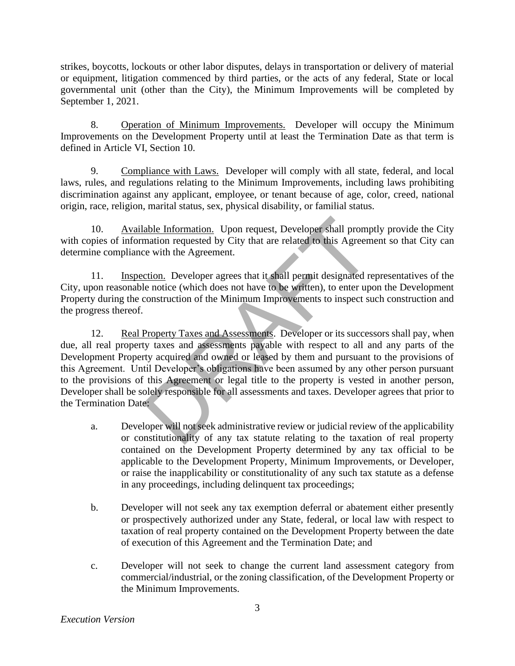strikes, boycotts, lockouts or other labor disputes, delays in transportation or delivery of material or equipment, litigation commenced by third parties, or the acts of any federal, State or local governmental unit (other than the City), the Minimum Improvements will be completed by September 1, 2021.

8. Operation of Minimum Improvements. Developer will occupy the Minimum Improvements on the Development Property until at least the Termination Date as that term is defined in Article VI, Section 10.

9. Compliance with Laws. Developer will comply with all state, federal, and local laws, rules, and regulations relating to the Minimum Improvements, including laws prohibiting discrimination against any applicant, employee, or tenant because of age, color, creed, national origin, race, religion, marital status, sex, physical disability, or familial status.

10. Available Information. Upon request, Developer shall promptly provide the City with copies of information requested by City that are related to this Agreement so that City can determine compliance with the Agreement.

11. Inspection. Developer agrees that it shall permit designated representatives of the City, upon reasonable notice (which does not have to be written), to enter upon the Development Property during the construction of the Minimum Improvements to inspect such construction and the progress thereof.

12. Real Property Taxes and Assessments. Developer or its successors shall pay, when due, all real property taxes and assessments payable with respect to all and any parts of the Development Property acquired and owned or leased by them and pursuant to the provisions of this Agreement. Until Developer's obligations have been assumed by any other person pursuant to the provisions of this Agreement or legal title to the property is vested in another person, Developer shall be solely responsible for all assessments and taxes. Developer agrees that prior to the Termination Date: able Information. Upon request, Developer shall promp<br>mation requested by City that are related to this Agreem<br>ce with the Agreement.<br>ction. Developer agrees that it shall permit designated re<br>le notice (which does not hav

- a. Developer will not seek administrative review or judicial review of the applicability or constitutionality of any tax statute relating to the taxation of real property contained on the Development Property determined by any tax official to be applicable to the Development Property, Minimum Improvements, or Developer, or raise the inapplicability or constitutionality of any such tax statute as a defense in any proceedings, including delinquent tax proceedings;
- b. Developer will not seek any tax exemption deferral or abatement either presently or prospectively authorized under any State, federal, or local law with respect to taxation of real property contained on the Development Property between the date of execution of this Agreement and the Termination Date; and
- c. Developer will not seek to change the current land assessment category from commercial/industrial, or the zoning classification, of the Development Property or the Minimum Improvements.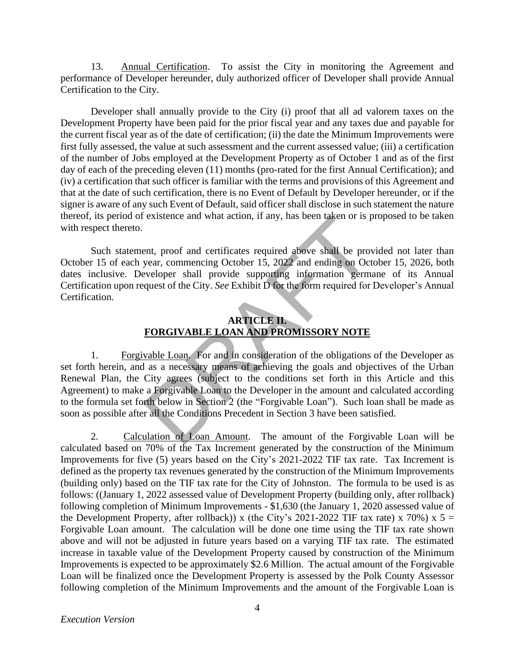13. Annual Certification. To assist the City in monitoring the Agreement and performance of Developer hereunder, duly authorized officer of Developer shall provide Annual Certification to the City.

Developer shall annually provide to the City (i) proof that all ad valorem taxes on the Development Property have been paid for the prior fiscal year and any taxes due and payable for the current fiscal year as of the date of certification; (ii) the date the Minimum Improvements were first fully assessed, the value at such assessment and the current assessed value; (iii) a certification of the number of Jobs employed at the Development Property as of October 1 and as of the first day of each of the preceding eleven (11) months (pro-rated for the first Annual Certification); and (iv) a certification that such officer is familiar with the terms and provisions of this Agreement and that at the date of such certification, there is no Event of Default by Developer hereunder, or if the signer is aware of any such Event of Default, said officer shall disclose in such statement the nature thereof, its period of existence and what action, if any, has been taken or is proposed to be taken with respect thereto.

Such statement, proof and certificates required above shall be provided not later than October 15 of each year, commencing October 15, 2022 and ending on October 15, 2026, both dates inclusive. Developer shall provide supporting information germane of its Annual Certification upon request of the City. *See* Exhibit D for the form required for Developer's Annual Certification.

## **ARTICLE II. FORGIVABLE LOAN AND PROMISSORY NOTE**

1. Forgivable Loan. For and in consideration of the obligations of the Developer as set forth herein, and as a necessary means of achieving the goals and objectives of the Urban Renewal Plan, the City agrees (subject to the conditions set forth in this Article and this Agreement) to make a Forgivable Loan to the Developer in the amount and calculated according to the formula set forth below in Section 2 (the "Forgivable Loan"). Such loan shall be made as soon as possible after all the Conditions Precedent in Section 3 have been satisfied. existence and wina action, if any, has been taken or is per<br>existence and wina action, if any, has been taken or is per<br>expect, commencing October 15, 2022 and ending on Oct<br>eveloper shall provide supporting information ge

2. Calculation of Loan Amount. The amount of the Forgivable Loan will be calculated based on 70% of the Tax Increment generated by the construction of the Minimum Improvements for five (5) years based on the City's 2021-2022 TIF tax rate. Tax Increment is defined as the property tax revenues generated by the construction of the Minimum Improvements (building only) based on the TIF tax rate for the City of Johnston. The formula to be used is as follows: ((January 1, 2022 assessed value of Development Property (building only, after rollback) following completion of Minimum Improvements - \$1,630 (the January 1, 2020 assessed value of the Development Property, after rollback)) x (the City's 2021-2022 TIF tax rate) x 70%) x 5 = Forgivable Loan amount. The calculation will be done one time using the TIF tax rate shown above and will not be adjusted in future years based on a varying TIF tax rate. The estimated increase in taxable value of the Development Property caused by construction of the Minimum Improvements is expected to be approximately \$2.6 Million. The actual amount of the Forgivable Loan will be finalized once the Development Property is assessed by the Polk County Assessor following completion of the Minimum Improvements and the amount of the Forgivable Loan is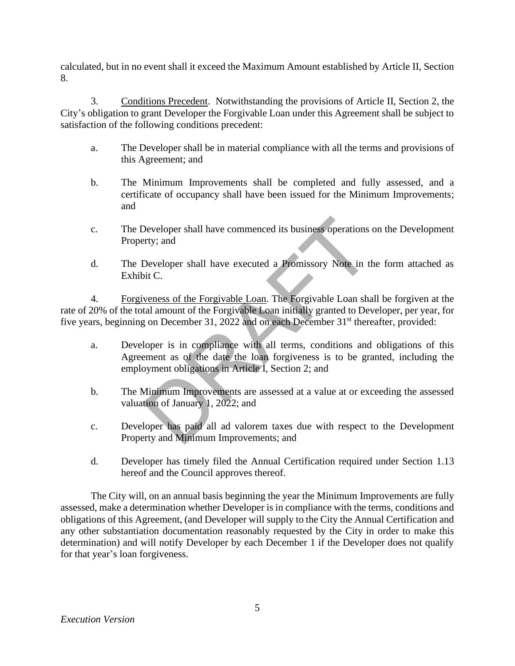calculated, but in no event shall it exceed the Maximum Amount established by Article II, Section 8.

3. Conditions Precedent. Notwithstanding the provisions of Article II, Section 2, the City's obligation to grant Developer the Forgivable Loan under this Agreement shall be subject to satisfaction of the following conditions precedent:

- a. The Developer shall be in material compliance with all the terms and provisions of this Agreement; and
- b. The Minimum Improvements shall be completed and fully assessed, and a certificate of occupancy shall have been issued for the Minimum Improvements; and
- c. The Developer shall have commenced its business operations on the Development Property; and
- d. The Developer shall have executed a Promissory Note in the form attached as Exhibit C.

4. Forgiveness of the Forgivable Loan. The Forgivable Loan shall be forgiven at the rate of 20% of the total amount of the Forgivable Loan initially granted to Developer, per year, for five years, beginning on December 31, 2022 and on each December 31<sup>st</sup> thereafter, provided: Developer shall have commenced its business operations<br>Developer shall have executed a Promissory Note in the<br>it C.<br>weness of the Forgivable Loan. The Forgivable Loan sha<br>tal amount of the Forgivable Loan initially granted

- a. Developer is in compliance with all terms, conditions and obligations of this Agreement as of the date the loan forgiveness is to be granted, including the employment obligations in Article I, Section 2; and
- b. The Minimum Improvements are assessed at a value at or exceeding the assessed valuation of January 1, 2022; and
- c. Developer has paid all ad valorem taxes due with respect to the Development Property and Minimum Improvements; and
- d. Developer has timely filed the Annual Certification required under Section 1.13 hereof and the Council approves thereof.

The City will, on an annual basis beginning the year the Minimum Improvements are fully assessed, make a determination whether Developer is in compliance with the terms, conditions and obligations of this Agreement, (and Developer will supply to the City the Annual Certification and any other substantiation documentation reasonably requested by the City in order to make this determination) and will notify Developer by each December 1 if the Developer does not qualify for that year's loan forgiveness.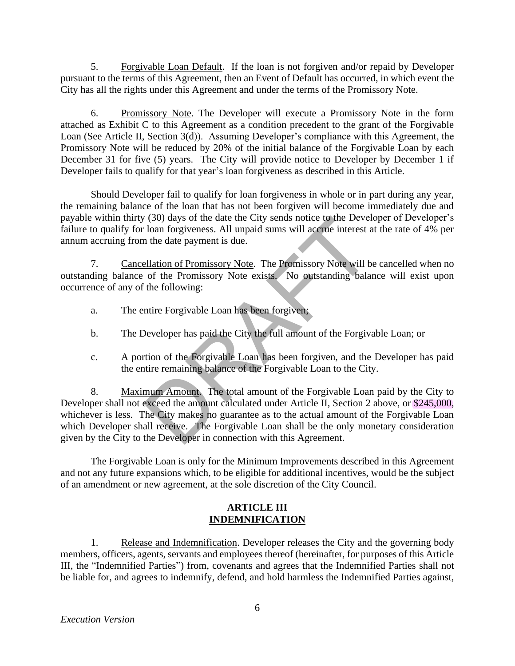5. Forgivable Loan Default. If the loan is not forgiven and/or repaid by Developer pursuant to the terms of this Agreement, then an Event of Default has occurred, in which event the City has all the rights under this Agreement and under the terms of the Promissory Note.

6. Promissory Note. The Developer will execute a Promissory Note in the form attached as Exhibit C to this Agreement as a condition precedent to the grant of the Forgivable Loan (See Article II, Section 3(d)). Assuming Developer's compliance with this Agreement, the Promissory Note will be reduced by 20% of the initial balance of the Forgivable Loan by each December 31 for five (5) years. The City will provide notice to Developer by December 1 if Developer fails to qualify for that year's loan forgiveness as described in this Article.

Should Developer fail to qualify for loan forgiveness in whole or in part during any year, the remaining balance of the loan that has not been forgiven will become immediately due and payable within thirty (30) days of the date the City sends notice to the Developer of Developer's failure to qualify for loan forgiveness. All unpaid sums will accrue interest at the rate of 4% per annum accruing from the date payment is due.

7. Cancellation of Promissory Note. The Promissory Note will be cancelled when no outstanding balance of the Promissory Note exists. No outstanding balance will exist upon occurrence of any of the following:

- a. The entire Forgivable Loan has been forgiven;
- b. The Developer has paid the City the full amount of the Forgivable Loan; or
- c. A portion of the Forgivable Loan has been forgiven, and the Developer has paid the entire remaining balance of the Forgivable Loan to the City.

8. Maximum Amount. The total amount of the Forgivable Loan paid by the City to Developer shall not exceed the amount calculated under Article II, Section 2 above, or \$245,000, whichever is less. The City makes no guarantee as to the actual amount of the Forgivable Loan which Developer shall receive. The Forgivable Loan shall be the only monetary consideration given by the City to the Developer in connection with this Agreement. (30) days of the date the City sends notice to the Devel<br>
loan forgiveness. All unpaid sums will accrue interest a<br>
the date payment is due.<br>
<u>ellation of Promissory Note</u>. The Promissory Note will b<br>
of the Promissory Not

The Forgivable Loan is only for the Minimum Improvements described in this Agreement and not any future expansions which, to be eligible for additional incentives, would be the subject of an amendment or new agreement, at the sole discretion of the City Council.

### **ARTICLE III INDEMNIFICATION**

1. Release and Indemnification. Developer releases the City and the governing body members, officers, agents, servants and employees thereof (hereinafter, for purposes of this Article III, the "Indemnified Parties") from, covenants and agrees that the Indemnified Parties shall not be liable for, and agrees to indemnify, defend, and hold harmless the Indemnified Parties against,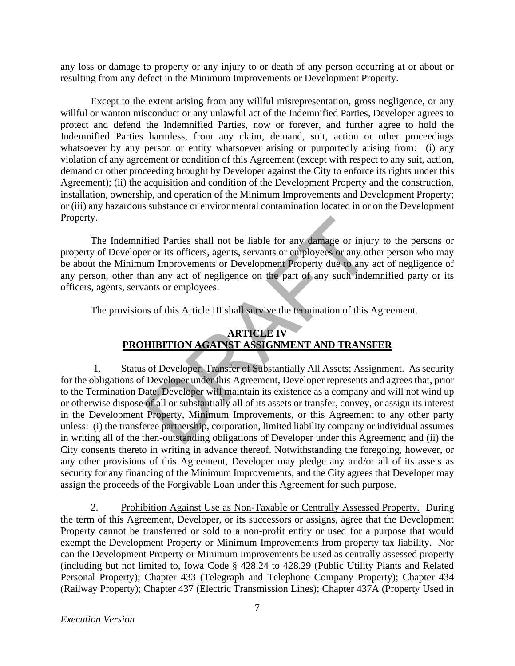any loss or damage to property or any injury to or death of any person occurring at or about or resulting from any defect in the Minimum Improvements or Development Property.

Except to the extent arising from any willful misrepresentation, gross negligence, or any willful or wanton misconduct or any unlawful act of the Indemnified Parties, Developer agrees to protect and defend the Indemnified Parties, now or forever, and further agree to hold the Indemnified Parties harmless, from any claim, demand, suit, action or other proceedings whatsoever by any person or entity whatsoever arising or purportedly arising from: (i) any violation of any agreement or condition of this Agreement (except with respect to any suit, action, demand or other proceeding brought by Developer against the City to enforce its rights under this Agreement); (ii) the acquisition and condition of the Development Property and the construction, installation, ownership, and operation of the Minimum Improvements and Development Property; or (iii) any hazardous substance or environmental contamination located in or on the Development Property.

The Indemnified Parties shall not be liable for any damage or injury to the persons or property of Developer or its officers, agents, servants or employees or any other person who may be about the Minimum Improvements or Development Property due to any act of negligence of any person, other than any act of negligence on the part of any such indemnified party or its officers, agents, servants or employees.

The provisions of this Article III shall survive the termination of this Agreement.

## **ARTICLE IV PROHIBITION AGAINST ASSIGNMENT AND TRANSFER**

1. Status of Developer; Transfer of Substantially All Assets; Assignment. As security for the obligations of Developer under this Agreement, Developer represents and agrees that, prior to the Termination Date, Developer will maintain its existence as a company and will not wind up or otherwise dispose of all or substantially all of its assets or transfer, convey, or assign its interest in the Development Property, Minimum Improvements, or this Agreement to any other party unless: (i) the transferee partnership, corporation, limited liability company or individual assumes in writing all of the then-outstanding obligations of Developer under this Agreement; and (ii) the City consents thereto in writing in advance thereof. Notwithstanding the foregoing, however, or any other provisions of this Agreement, Developer may pledge any and/or all of its assets as security for any financing of the Minimum Improvements, and the City agrees that Developer may assign the proceeds of the Forgivable Loan under this Agreement for such purpose. fied Parties shall not be liable for any damage or injure or or its officers, agents, servants or employees or any ot<br>am Improvements or Development Property due to any<br>an any act of negligence on the part of any such inde

2. Prohibition Against Use as Non-Taxable or Centrally Assessed Property. During the term of this Agreement, Developer, or its successors or assigns, agree that the Development Property cannot be transferred or sold to a non-profit entity or used for a purpose that would exempt the Development Property or Minimum Improvements from property tax liability. Nor can the Development Property or Minimum Improvements be used as centrally assessed property (including but not limited to, Iowa Code § 428.24 to 428.29 (Public Utility Plants and Related Personal Property); Chapter 433 (Telegraph and Telephone Company Property); Chapter 434 (Railway Property); Chapter 437 (Electric Transmission Lines); Chapter 437A (Property Used in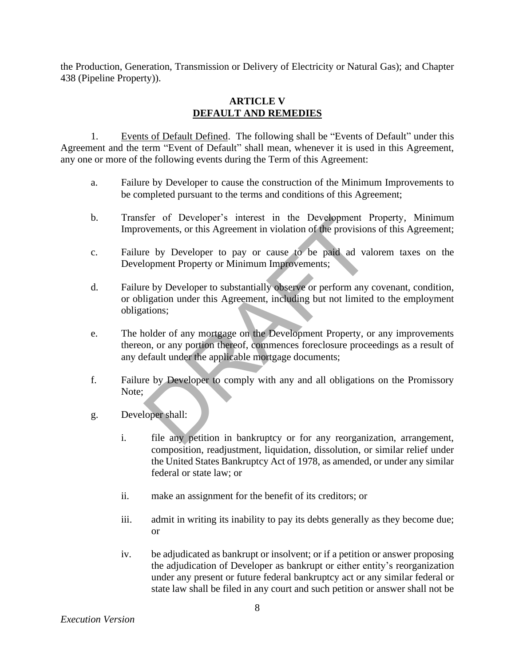the Production, Generation, Transmission or Delivery of Electricity or Natural Gas); and Chapter 438 (Pipeline Property)).

#### **ARTICLE V DEFAULT AND REMEDIES**

1. Events of Default Defined. The following shall be "Events of Default" under this Agreement and the term "Event of Default" shall mean, whenever it is used in this Agreement, any one or more of the following events during the Term of this Agreement:

- a. Failure by Developer to cause the construction of the Minimum Improvements to be completed pursuant to the terms and conditions of this Agreement;
- b. Transfer of Developer's interest in the Development Property, Minimum Improvements, or this Agreement in violation of the provisions of this Agreement;
- c. Failure by Developer to pay or cause to be paid ad valorem taxes on the Development Property or Minimum Improvements;
- d. Failure by Developer to substantially observe or perform any covenant, condition, or obligation under this Agreement, including but not limited to the employment obligations;
- e. The holder of any mortgage on the Development Property, or any improvements thereon, or any portion thereof, commences foreclosure proceedings as a result of any default under the applicable mortgage documents; For of Developer's interest in the Development F<br>wements, or this Agreement in violation of the provision<br>re by Developer to pay or cause to be paid ad val<br>lopment Property or Minimum Improvements;<br>re by Developer to subst
- f. Failure by Developer to comply with any and all obligations on the Promissory Note;
- g. Developer shall:
	- i. file any petition in bankruptcy or for any reorganization, arrangement, composition, readjustment, liquidation, dissolution, or similar relief under the United States Bankruptcy Act of 1978, as amended, or under any similar federal or state law; or
	- ii. make an assignment for the benefit of its creditors; or
	- iii. admit in writing its inability to pay its debts generally as they become due; or
	- iv. be adjudicated as bankrupt or insolvent; or if a petition or answer proposing the adjudication of Developer as bankrupt or either entity's reorganization under any present or future federal bankruptcy act or any similar federal or state law shall be filed in any court and such petition or answer shall not be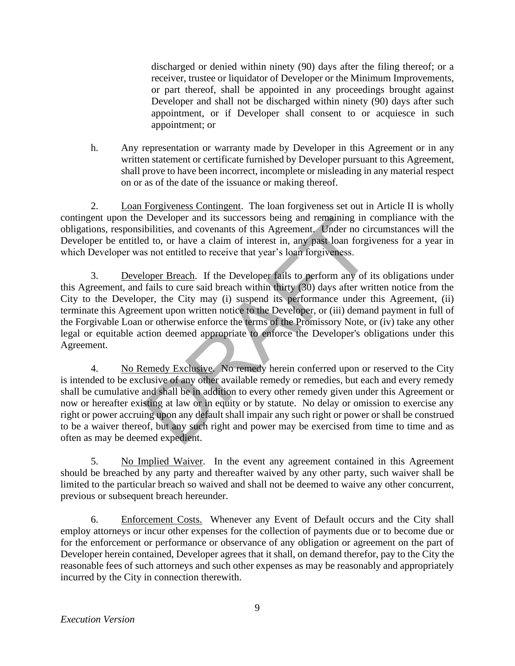discharged or denied within ninety (90) days after the filing thereof; or a receiver, trustee or liquidator of Developer or the Minimum Improvements, or part thereof, shall be appointed in any proceedings brought against Developer and shall not be discharged within ninety (90) days after such appointment, or if Developer shall consent to or acquiesce in such appointment; or

h. Any representation or warranty made by Developer in this Agreement or in any written statement or certificate furnished by Developer pursuant to this Agreement, shall prove to have been incorrect, incomplete or misleading in any material respect on or as of the date of the issuance or making thereof.

2. Loan Forgiveness Contingent. The loan forgiveness set out in Article II is wholly contingent upon the Developer and its successors being and remaining in compliance with the obligations, responsibilities, and covenants of this Agreement. Under no circumstances will the Developer be entitled to, or have a claim of interest in, any past loan forgiveness for a year in which Developer was not entitled to receive that year's loan forgiveness.

3. Developer Breach. If the Developer fails to perform any of its obligations under this Agreement, and fails to cure said breach within thirty (30) days after written notice from the City to the Developer, the City may (i) suspend its performance under this Agreement, (ii) terminate this Agreement upon written notice to the Developer, or (iii) demand payment in full of the Forgivable Loan or otherwise enforce the terms of the Promissory Note, or (iv) take any other legal or equitable action deemed appropriate to enforce the Developer's obligations under this Agreement. Developer and its successors being and remaining in considiatives, and covenants of this Agreement. Under no circle to to, or have a claim of interest in, any past loan forgiveness.<br>
Supper Breach. If the Developer fails t

4. No Remedy Exclusive. No remedy herein conferred upon or reserved to the City is intended to be exclusive of any other available remedy or remedies, but each and every remedy shall be cumulative and shall be in addition to every other remedy given under this Agreement or now or hereafter existing at law or in equity or by statute. No delay or omission to exercise any right or power accruing upon any default shall impair any such right or power or shall be construed to be a waiver thereof, but any such right and power may be exercised from time to time and as often as may be deemed expedient.

5. No Implied Waiver. In the event any agreement contained in this Agreement should be breached by any party and thereafter waived by any other party, such waiver shall be limited to the particular breach so waived and shall not be deemed to waive any other concurrent, previous or subsequent breach hereunder.

6. Enforcement Costs. Whenever any Event of Default occurs and the City shall employ attorneys or incur other expenses for the collection of payments due or to become due or for the enforcement or performance or observance of any obligation or agreement on the part of Developer herein contained, Developer agrees that it shall, on demand therefor, pay to the City the reasonable fees of such attorneys and such other expenses as may be reasonably and appropriately incurred by the City in connection therewith.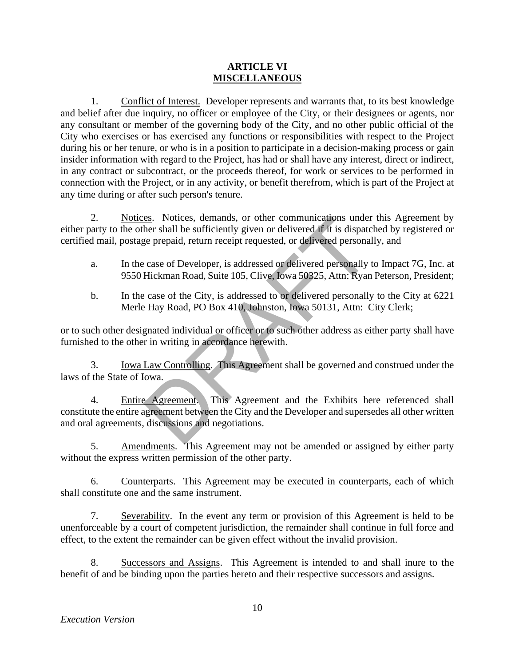#### **ARTICLE VI MISCELLANEOUS**

1. Conflict of Interest. Developer represents and warrants that, to its best knowledge and belief after due inquiry, no officer or employee of the City, or their designees or agents, nor any consultant or member of the governing body of the City, and no other public official of the City who exercises or has exercised any functions or responsibilities with respect to the Project during his or her tenure, or who is in a position to participate in a decision-making process or gain insider information with regard to the Project, has had or shall have any interest, direct or indirect, in any contract or subcontract, or the proceeds thereof, for work or services to be performed in connection with the Project, or in any activity, or benefit therefrom, which is part of the Project at any time during or after such person's tenure.

2. Notices. Notices, demands, or other communications under this Agreement by either party to the other shall be sufficiently given or delivered if it is dispatched by registered or certified mail, postage prepaid, return receipt requested, or delivered personally, and

- a. In the case of Developer, is addressed or delivered personally to Impact 7G, Inc. at 9550 Hickman Road, Suite 105, Clive, Iowa 50325, Attn: Ryan Peterson, President;
- b. In the case of the City, is addressed to or delivered personally to the City at 6221 Merle Hay Road, PO Box 410, Johnston, Iowa 50131, Attn: City Clerk;

or to such other designated individual or officer or to such other address as either party shall have furnished to the other in writing in accordance herewith.

3. Iowa Law Controlling. This Agreement shall be governed and construed under the laws of the State of Iowa.

4. Entire Agreement. This Agreement and the Exhibits here referenced shall constitute the entire agreement between the City and the Developer and supersedes all other written and oral agreements, discussions and negotiations. examples. Notices, demands, or other communications under<br>her shall be sufficiently given or delivered if it is dispate<br>ge prepaid, return receipt requested, or delivered personally<br>case of Developer, is addressed or deliv

5. Amendments. This Agreement may not be amended or assigned by either party without the express written permission of the other party.

6. Counterparts. This Agreement may be executed in counterparts, each of which shall constitute one and the same instrument.

7. Severability. In the event any term or provision of this Agreement is held to be unenforceable by a court of competent jurisdiction, the remainder shall continue in full force and effect, to the extent the remainder can be given effect without the invalid provision.

8. Successors and Assigns. This Agreement is intended to and shall inure to the benefit of and be binding upon the parties hereto and their respective successors and assigns.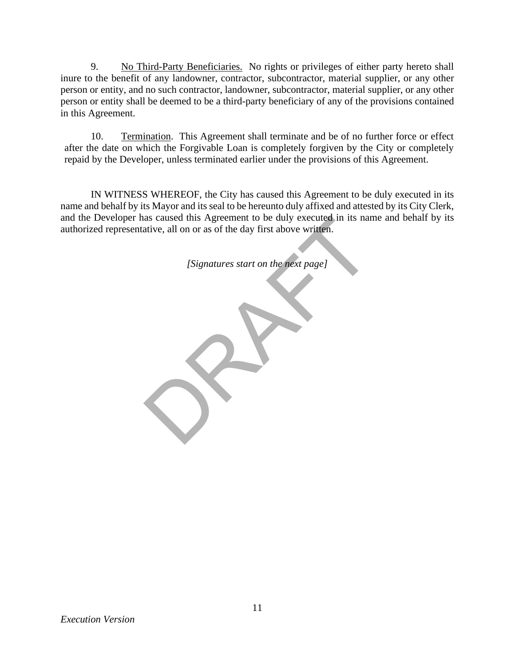9. No Third-Party Beneficiaries. No rights or privileges of either party hereto shall inure to the benefit of any landowner, contractor, subcontractor, material supplier, or any other person or entity, and no such contractor, landowner, subcontractor, material supplier, or any other person or entity shall be deemed to be a third-party beneficiary of any of the provisions contained in this Agreement.

10. Termination. This Agreement shall terminate and be of no further force or effect after the date on which the Forgivable Loan is completely forgiven by the City or completely repaid by the Developer, unless terminated earlier under the provisions of this Agreement.

IN WITNESS WHEREOF, the City has caused this Agreement to be duly executed in its name and behalf by its Mayor and its seal to be hereunto duly affixed and attested by its City Clerk, and the Developer has caused this Agreement to be duly executed in its name and behalf by its authorized representative, all on or as of the day first above written. as caused this Agreement to be duly executed in its narchive, all on or as of the day first above written.<br>
[Signatures start on the next page]

*[Signatures start on the next page]*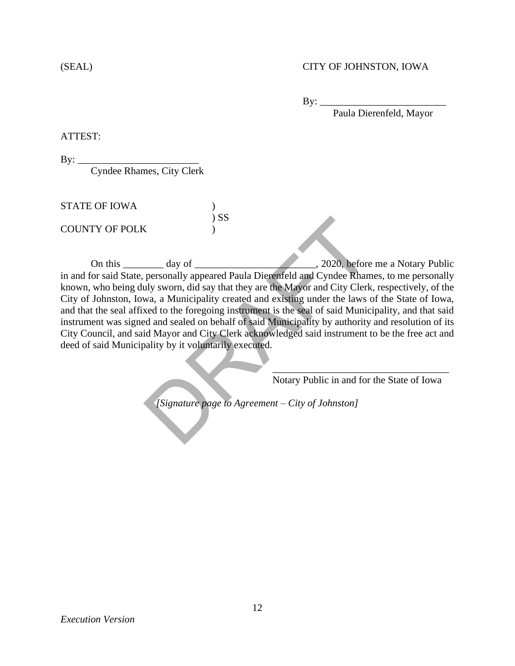#### (SEAL) CITY OF JOHNSTON, IOWA

 $By:$ 

Paula Dierenfeld, Mayor

ATTEST:

By: \_\_\_\_\_\_\_\_\_\_\_\_\_\_\_\_\_\_\_\_\_\_\_\_

Cyndee Rhames, City Clerk

STATE OF IOWA ) ) SS COUNTY OF POLK )

On this day of day of the contract of the contract of the contract of the contract of the contract of the contract of the contract of the contract of the contract of the contract of the contract of the contract of the cont in and for said State, personally appeared Paula Dierenfeld and Cyndee Rhames, to me personally known, who being duly sworn, did say that they are the Mayor and City Clerk, respectively, of the City of Johnston, Iowa, a Municipality created and existing under the laws of the State of Iowa, and that the seal affixed to the foregoing instrument is the seal of said Municipality, and that said instrument was signed and sealed on behalf of said Municipality by authority and resolution of its City Council, and said Mayor and City Clerk acknowledged said instrument to be the free act and deed of said Municipality by it voluntarily executed. SS<br>
and the personally appeared Paula Dierenfeld and Cyndee Rham<br>
and Save the Mayor and City Clerk<br>
wa, a Municipality created and existing under the laws of<br>
a Municipality created and existing under the laws of<br>
and sea

\_\_\_\_\_\_\_\_\_\_\_\_\_\_\_\_\_\_\_\_\_\_\_\_\_\_\_\_\_\_\_\_\_\_\_ Notary Public in and for the State of Iowa

*[Signature page to Agreement – City of Johnston]*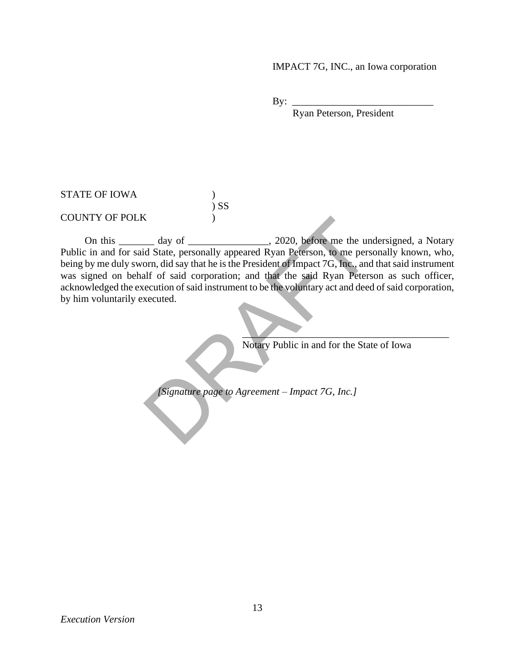#### IMPACT 7G, INC., an Iowa corporation

By:  $\_\_$ 

Ryan Peterson, President

#### STATE OF IOWA (1) ) SS COUNTY OF POLK )

On this day of  $\qquad \qquad$ , 2020, before me the undersigned, a Notary Public in and for said State, personally appeared Ryan Peterson, to me personally known, who, being by me duly sworn, did say that he is the President of Impact 7G, Inc., and that said instrument was signed on behalf of said corporation; and that the said Ryan Peterson as such officer, acknowledged the execution of said instrument to be the voluntary act and deed of said corporation, by him voluntarily executed. day of depression of the unit of state, personally appeared Ryan Peterson, to me person, did say that he is the President of Impact 7G, Inc., and all for said corporation; and that the said Ryan Peters ecution of said inst

Notary Public in and for the State of Iowa

 $\blacksquare$ 

*[Signature page to Agreement – Impact 7G, Inc.]*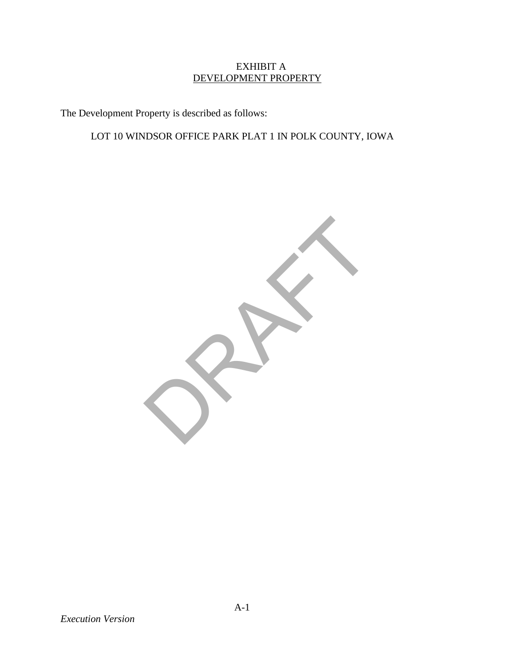### EXHIBIT A DEVELOPMENT PROPERTY

The Development Property is described as follows:

# LOT 10 WINDSOR OFFICE PARK PLAT 1 IN POLK COUNTY, IOWA



*Execution Version*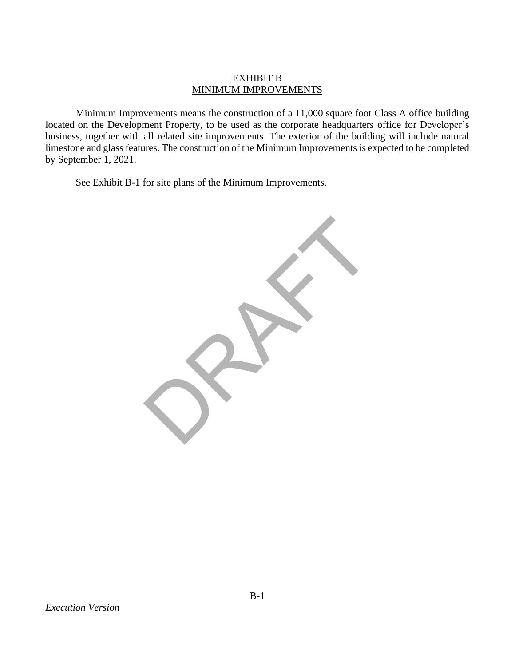#### EXHIBIT B MINIMUM IMPROVEMENTS

Minimum Improvements means the construction of a 11,000 square foot Class A office building located on the Development Property, to be used as the corporate headquarters office for Developer's business, together with all related site improvements. The exterior of the building will include natural limestone and glass features. The construction of the Minimum Improvements is expected to be completed by September 1, 2021.

See Exhibit B-1 for site plans of the Minimum Improvements.

RAFT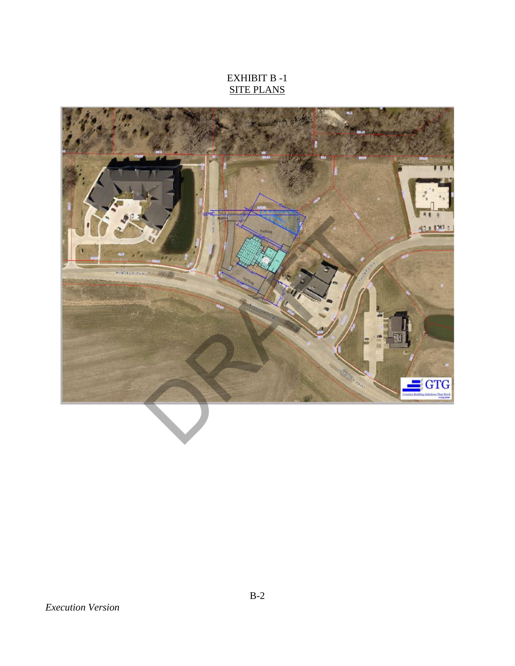# EXHIBIT B -1 SITE PLANS

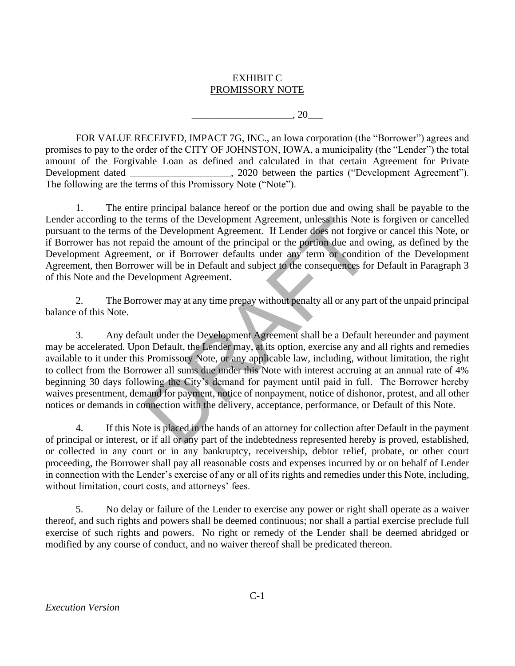## EXHIBIT C PROMISSORY NOTE

 $\,$ , 20

FOR VALUE RECEIVED, IMPACT 7G, INC., an Iowa corporation (the "Borrower") agrees and promises to pay to the order of the CITY OF JOHNSTON, IOWA, a municipality (the "Lender") the total amount of the Forgivable Loan as defined and calculated in that certain Agreement for Private Development dated \_\_\_\_\_\_\_\_\_\_\_\_\_\_\_\_\_\_, 2020 between the parties ("Development Agreement"). The following are the terms of this Promissory Note ("Note").

1. The entire principal balance hereof or the portion due and owing shall be payable to the Lender according to the terms of the Development Agreement, unless this Note is forgiven or cancelled pursuant to the terms of the Development Agreement. If Lender does not forgive or cancel this Note, or if Borrower has not repaid the amount of the principal or the portion due and owing, as defined by the Development Agreement, or if Borrower defaults under any term or condition of the Development Agreement, then Borrower will be in Default and subject to the consequences for Default in Paragraph 3 of this Note and the Development Agreement.

2. The Borrower may at any time prepay without penalty all or any part of the unpaid principal balance of this Note.

3. Any default under the Development Agreement shall be a Default hereunder and payment may be accelerated. Upon Default, the Lender may, at its option, exercise any and all rights and remedies available to it under this Promissory Note, or any applicable law, including, without limitation, the right to collect from the Borrower all sums due under this Note with interest accruing at an annual rate of 4% beginning 30 days following the City's demand for payment until paid in full. The Borrower hereby waives presentment, demand for payment, notice of nonpayment, notice of dishonor, protest, and all other notices or demands in connection with the delivery, acceptance, performance, or Default of this Note. terms of the Development Agreement, unless this Note<br>the Development Agreement. If Lender does not forgive<br>aid the amount of the principal or the portion due and o<br>t, or if Borrower defaults under any term or condition<br>ter

4. If this Note is placed in the hands of an attorney for collection after Default in the payment of principal or interest, or if all or any part of the indebtedness represented hereby is proved, established, or collected in any court or in any bankruptcy, receivership, debtor relief, probate, or other court proceeding, the Borrower shall pay all reasonable costs and expenses incurred by or on behalf of Lender in connection with the Lender's exercise of any or all of its rights and remedies under this Note, including, without limitation, court costs, and attorneys' fees.

5. No delay or failure of the Lender to exercise any power or right shall operate as a waiver thereof, and such rights and powers shall be deemed continuous; nor shall a partial exercise preclude full exercise of such rights and powers. No right or remedy of the Lender shall be deemed abridged or modified by any course of conduct, and no waiver thereof shall be predicated thereon.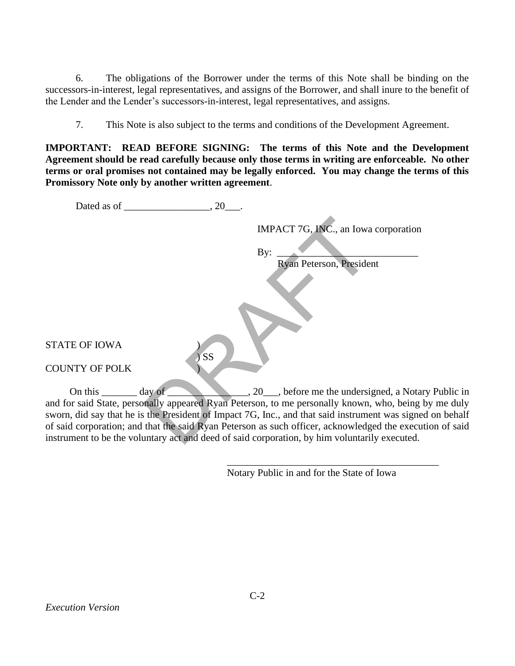6. The obligations of the Borrower under the terms of this Note shall be binding on the successors-in-interest, legal representatives, and assigns of the Borrower, and shall inure to the benefit of the Lender and the Lender's successors-in-interest, legal representatives, and assigns.

7. This Note is also subject to the terms and conditions of the Development Agreement.

**IMPORTANT: READ BEFORE SIGNING: The terms of this Note and the Development Agreement should be read carefully because only those terms in writing are enforceable. No other terms or oral promises not contained may be legally enforced. You may change the terms of this Promissory Note only by another written agreement**.

|                                | .20       |                                                                                                                                                                                                                   |
|--------------------------------|-----------|-------------------------------------------------------------------------------------------------------------------------------------------------------------------------------------------------------------------|
|                                |           | IMPACT 7G, INC., an Iowa corporation                                                                                                                                                                              |
|                                |           | By:                                                                                                                                                                                                               |
|                                |           | Ryan Peterson, President                                                                                                                                                                                          |
|                                |           |                                                                                                                                                                                                                   |
| <b>STATE OF IOWA</b>           | <b>SS</b> |                                                                                                                                                                                                                   |
| <b>COUNTY OF POLK</b>          |           |                                                                                                                                                                                                                   |
| On this $\qquad \qquad$ day of |           | 20 here me the undersigned, a Notary Public in                                                                                                                                                                    |
|                                |           | and for said State, personally appeared Ryan Peterson, to me personally known, who, being by me duly<br>sworn, did say that he is the President of Impact 7G, Inc., and that said instrument was signed on behalf |
|                                |           | of said corporation; and that the said Ryan Peterson as such officer, acknowledged the execution of said                                                                                                          |
|                                |           | instrument to be the voluntary act and deed of said corporation, by him voluntarily executed.                                                                                                                     |

Notary Public in and for the State of Iowa

\_\_\_\_\_\_\_\_\_\_\_\_\_\_\_\_\_\_\_\_\_\_\_\_\_\_\_\_\_\_\_\_\_\_\_\_\_\_\_\_\_\_